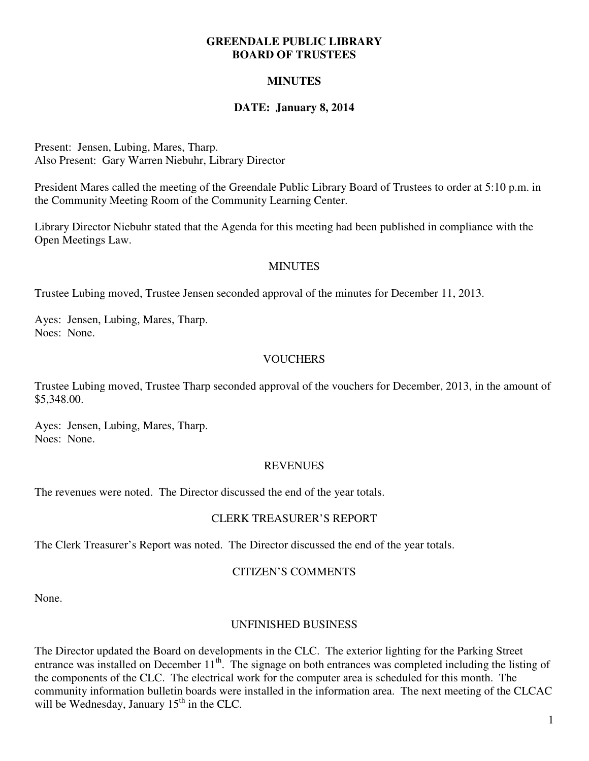#### **GREENDALE PUBLIC LIBRARY BOARD OF TRUSTEES**

# **MINUTES**

# **DATE: January 8, 2014**

Present: Jensen, Lubing, Mares, Tharp. Also Present: Gary Warren Niebuhr, Library Director

President Mares called the meeting of the Greendale Public Library Board of Trustees to order at 5:10 p.m. in the Community Meeting Room of the Community Learning Center.

Library Director Niebuhr stated that the Agenda for this meeting had been published in compliance with the Open Meetings Law.

#### **MINUTES**

Trustee Lubing moved, Trustee Jensen seconded approval of the minutes for December 11, 2013.

Ayes: Jensen, Lubing, Mares, Tharp. Noes: None.

### **VOUCHERS**

Trustee Lubing moved, Trustee Tharp seconded approval of the vouchers for December, 2013, in the amount of \$5,348.00.

Ayes: Jensen, Lubing, Mares, Tharp. Noes: None.

#### **REVENUES**

The revenues were noted. The Director discussed the end of the year totals.

### CLERK TREASURER'S REPORT

The Clerk Treasurer's Report was noted. The Director discussed the end of the year totals.

### CITIZEN'S COMMENTS

None.

### UNFINISHED BUSINESS

The Director updated the Board on developments in the CLC. The exterior lighting for the Parking Street entrance was installed on December 11<sup>th</sup>. The signage on both entrances was completed including the listing of the components of the CLC. The electrical work for the computer area is scheduled for this month. The community information bulletin boards were installed in the information area. The next meeting of the CLCAC will be Wednesday, January  $15<sup>th</sup>$  in the CLC.